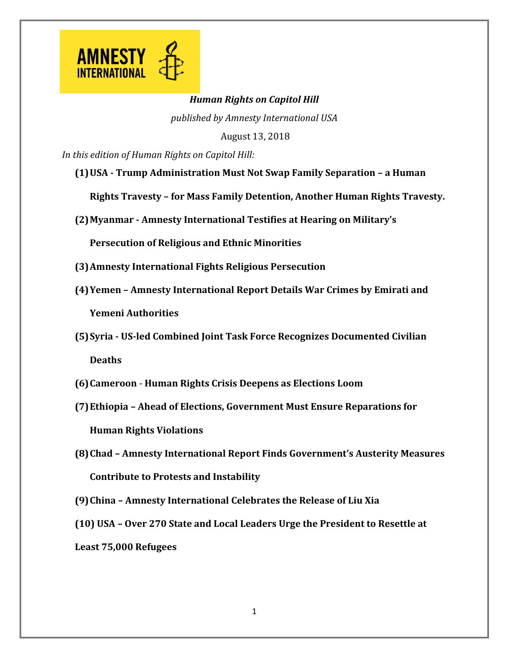

## *Human Rights on Capitol Hill*

*published by Amnesty International USA*

August 13, 2018

*In this edition of Human Rights on Capitol Hill:*

**(1)USA - Trump Administration Must Not Swap Family Separation – a Human** 

**Rights Travesty – for Mass Family Detention, Another Human Rights Travesty.** 

**(2)Myanmar - Amnesty International Testifies at Hearing on Military's** 

**Persecution of Religious and Ethnic Minorities**

- **(3)Amnesty International Fights Religious Persecution**
- **(4)Yemen – Amnesty International Report Details War Crimes by Emirati and Yemeni Authorities**
- **(5)Syria - US-led Combined Joint Task Force Recognizes Documented Civilian Deaths**
- **(6)Cameroon Human Rights Crisis Deepens as Elections Loom**
- **(7)Ethiopia – Ahead of Elections, Government Must Ensure Reparations for Human Rights Violations**
- **(8)Chad – Amnesty International Report Finds Government's Austerity Measures Contribute to Protests and Instability**
- **(9)China – Amnesty International Celebrates the Release of Liu Xia**
- **(10) USA – Over 270 State and Local Leaders Urge the President to Resettle at**

**Least 75,000 Refugees**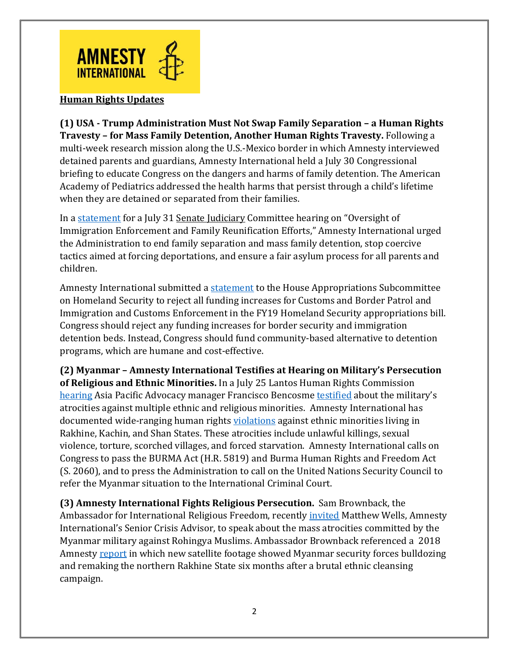

## **Human Rights Updates**

**(1) USA - Trump Administration Must Not Swap Family Separation – a Human Rights Travesty – for Mass Family Detention, Another Human Rights Travesty.** Following a multi-week research mission along the U.S.-Mexico border in which Amnesty interviewed detained parents and guardians, Amnesty International held a July 30 Congressional briefing to educate Congress on the dangers and harms of family detention. The American Academy of Pediatrics addressed the health harms that persist through a child's lifetime when they are detained or separated from their families.

In a [statement](https://www.amnestyusa.org/our-work/government-relations/advocacy/submission-to-the-record-july-31-hearing-on-oversight-of-immigration-enforcement-and-family-reunification-efforts/) for a July 31 Senate Judiciary Committee hearing on "Oversight of Immigration Enforcement and Family Reunification Efforts," Amnesty International urged the Administration to end family separation and mass family detention, stop coercive tactics aimed at forcing deportations, and ensure a fair asylum process for all parents and children.

Amnesty International submitted [a statement](https://www.amnestyusa.org/our-work/government-relations/advocacy/department-of-homeland-security-fy19-markup-submission/) to the House Appropriations Subcommittee on Homeland Security to reject all funding increases for Customs and Border Patrol and Immigration and Customs Enforcement in the FY19 Homeland Security appropriations bill. Congress should reject any funding increases for border security and immigration detention beds. Instead, Congress should fund community-based alternative to detention programs, which are humane and cost-effective.

**(2) Myanmar – Amnesty International Testifies at Hearing on Military's Persecution of Religious and Ethnic Minorities.** In a July 25 Lantos Human Rights Commission [hearing](https://humanrightscommission.house.gov/events/hearings/victims-rights-burma) Asia Pacific Advocacy manager Francisco Bencosme [testified](https://humanrightscommission.house.gov/sites/humanrightscommission.house.gov/files/documents/TLHRC%20Burma_F%20Bencosme_Final.pdf) about the military's atrocities against multiple ethnic and religious minorities. Amnesty International has documented wide-ranging human rights [violations](https://medium.com/@amnestyusa/what-can-you-do-in-preparation-for-the-one-year-anniversary-of-the-ethnic-cleansing-against-the-42247495f4a8) against ethnic minorities living in Rakhine, Kachin, and Shan States. These atrocities include unlawful killings, sexual violence, torture, scorched villages, and forced starvation. Amnesty International calls on Congress to pass the BURMA Act (H.R. 5819) and Burma Human Rights and Freedom Act (S. 2060), and to press the Administration to call on the United Nations Security Council to refer the Myanmar situation to the International Criminal Court.

**(3) Amnesty International Fights Religious Persecution.** Sam Brownback, the Ambassador for International Religious Freedom, recently *[invited](https://www.facebook.com/StateDRL/videos/ambassador-brownback-speaks-with-matt-wells-on-burma/10156519627335955/)* Matthew Wells, Amnesty International's Senior Crisis Advisor, to speak about the mass atrocities committed by the Myanmar military against Rohingya Muslims. Ambassador Brownback referenced a 2018 Amnesty [report](https://www.amnesty.org/en/documents/asa16/8018/2018/en/) in which new satellite footage showed Myanmar security forces bulldozing and remaking the northern Rakhine State six months after a brutal ethnic cleansing campaign.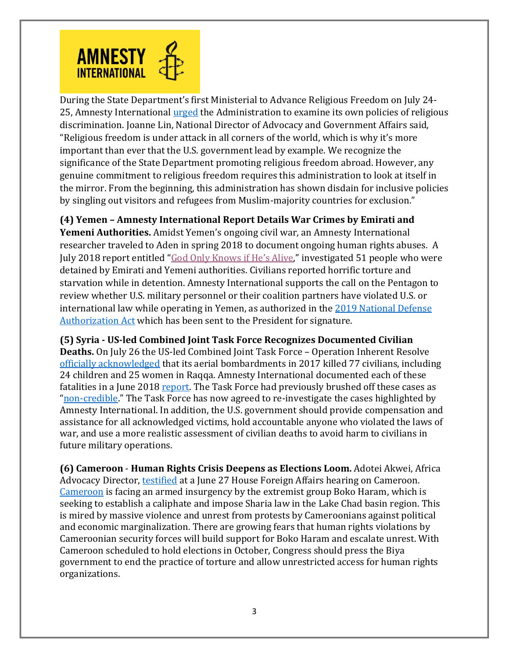

During the State Department's first Ministerial to Advance Religious Freedom on July 24- 25, Amnesty International [urged](https://www.amnestyusa.org/press-releases/state-department-gathering-on-religious-freedom-must-lead-by-example/) the Administration to examine its own policies of religious discrimination. Joanne Lin, National Director of Advocacy and Government Affairs said, "Religious freedom is under attack in all corners of the world, which is why it's more important than ever that the U.S. government lead by example. We recognize the significance of the State Department promoting religious freedom abroad. However, any genuine commitment to religious freedom requires this administration to look at itself in the mirror. From the beginning, this administration has shown disdain for inclusive policies by singling out visitors and refugees from Muslim-majority countries for exclusion."

**(4) Yemen – Amnesty International Report Details War Crimes by Emirati and Yemeni Authorities.** Amidst Yemen's ongoing civil war, an Amnesty International researcher traveled to Aden in spring 2018 to document ongoing human rights abuses. A July 2018 report entitled "[God Only Knows if He](https://www.amnesty.org/en/latest/news/2018/07/disappearances-and-torture-in-southern-yemen-detention-facilities-must-be-investigated-as-war-crimes/)'s Alive," investigated 51 people who were detained by Emirati and Yemeni authorities. Civilians reported horrific torture and starvation while in detention. Amnesty International supports the call on the Pentagon to review whether U.S. military personnel or their coalition partners have violated U.S. or

international law while operating in Yemen, as authorized in the [2019 National Defense](https://armedservices.house.gov/ndaa)  [Authorization Act](https://armedservices.house.gov/ndaa) which has been sent to the President for signature.

**(5) Syria - US-led Combined Joint Task Force Recognizes Documented Civilian** 

**Deaths.** On July 26 the US-led Combined Joint Task Force – Operation Inherent Resolve [officially acknowledged](http://www.inherentresolve.mil/News/News-Releases/Article/1584728/combined-joint-task-force-operation-inherent-resolve-monthly-civilian-casualty/) that its aerial bombardments in 2017 killed 77 civilians, including 24 children and 25 women in Raqqa. Amnesty International documented each of these fatalities in a June 2018 [report.](https://www.amnesty.org/en/documents/mde24/8367/2018/en/) The Task Force had previously brushed off these cases as "[non-credible](http://theglobalcoalition.org/en/coalition-response-to-amnesty-report-on-civilian-casualties-in-raqqa/)." The Task Force has now agreed to re-investigate the cases highlighted by Amnesty International. In addition, the U.S. government should provide compensation and assistance for all acknowledged victims, hold accountable anyone who violated the laws of war, and use a more realistic assessment of civilian deaths to avoid harm to civilians in future military operations.

**(6) Cameroon** - **Human Rights Crisis Deepens as Elections Loom.** Adotei Akwei, Africa Advocacy Director, [testified](https://docs.house.gov/meetings/FA/FA16/20180627/108492/HHRG-115-FA16-Wstate-AkweiA-20180627.pdf) at a June 27 House Foreign Affairs hearing on Cameroon. [Cameroon](https://medium.com/@amnestyusa/cameroon-at-risk-failure-to-reform-will-have-repercussion-for-the-region-and-the-united-states-8ca761de18e9) is facing an armed insurgency by the extremist group Boko Haram, which is seeking to establish a caliphate and impose Sharia law in the Lake Chad basin region. This is mired by massive violence and unrest from protests by Cameroonians against political and economic marginalization. There are growing fears that human rights violations by Cameroonian security forces will build support for Boko Haram and escalate unrest. With Cameroon scheduled to hold elections in October, Congress should press the Biya government to end the practice of torture and allow unrestricted access for human rights organizations.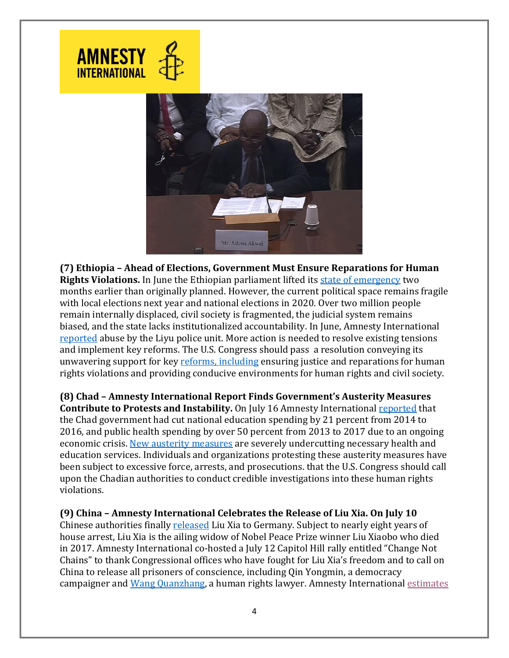



**(7) Ethiopia – Ahead of Elections, Government Must Ensure Reparations for Human Rights Violations.** In June the Ethiopian parliament lifted its [state of emergency](https://www.washingtonpost.com/world/africa/ethiopia-moves-to-lift-state-of-emergency-two-months-early-as-tensions-ease/2018/06/02/2f1fa6ec-6669-11e8-a768-ed043e33f1dc_story.html?utm_term=.39499947ff68) two months earlier than originally planned. However, the current political space remains fragile with local elections next year and national elections in 2020. Over two million people remain internally displaced, civil society is fragmented, the judicial system remains biased, and the state lacks institutionalized accountability. In June, Amnesty International [reported](https://www.amnesty.org/en/latest/news/2018/06/ethiopia-abusive-police-unit-must-be-stopped/) abuse by the Liyu police unit. More action is needed to resolve existing tensions and implement key reforms. The U.S. Congress should pass a resolution conveying its unwavering support for key [reforms,](https://www.amnesty.org/en/latest/news/2018/06/ethiopia-lifting-of-state-of-emergency-must-be-followed-by-investigation-of-abuses/) including ensuring justice and reparations for human rights violations and providing conducive environments for human rights and civil society.

**(8) Chad – Amnesty International Report Finds Government's Austerity Measures Contribute to Protests and Instability.** On July 16 Amnesty International [reported](https://www.amnestyusa.org/wp-content/uploads/2018/07/Strangled-Budgets_Silenced-Dissent.pdf) that the Chad government had cut national education spending by 21 percent from 2014 to 2016, and public health spending by over 50 percent from 2013 to 2017 due to an ongoing economic crisis. [New austerity measures](https://www.amnesty.org/en/latest/news/2018/07/chad-people-forced-to-pay-a-heavy-price-for-harsh-austerity-measures/) are severely undercutting necessary health and education services. Individuals and organizations protesting these austerity measures have been subject to excessive force, arrests, and prosecutions. that the U.S. Congress should call upon the Chadian authorities to conduct credible investigations into these human rights violations.

## **(9) China – Amnesty International Celebrates the Release of Liu Xia. On July 10**

Chinese authorities finally [released](https://www.amnesty.org/en/latest/news/2018/07/china-liu-xia-free-on-way-to-germany/) Liu Xia to Germany. Subject to nearly eight years of house arrest, Liu Xia is the ailing widow of Nobel Peace Prize winner Liu Xiaobo who died in 2017. Amnesty International co-hosted a July 12 Capitol Hill rally entitled "Change Not Chains" to thank Congressional offices who have fought for Liu Xia's freedom and to call on China to release all prisoners of conscience, including Qin Yongmin, a democracy campaigner and [Wang Quanzhang,](https://www.amnesty.org/en/get-involved/take-action/free-chinese-lawyer-wang-quanzhang/) a human rights lawyer. Amnesty International [estimates](https://www.amnestyusa.org/countries/china/)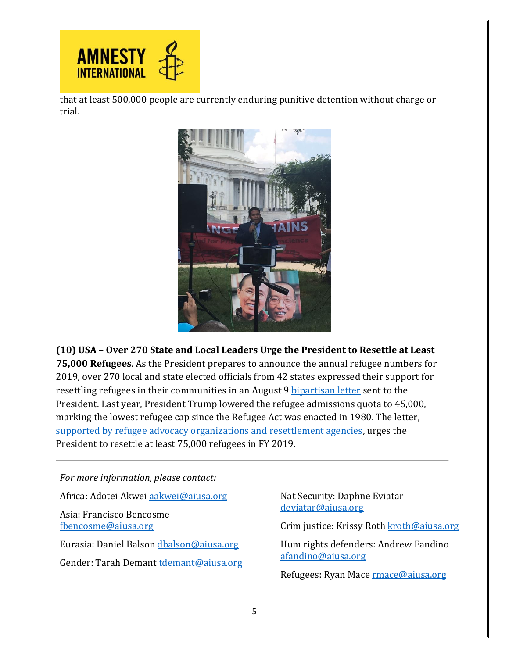

that at least 500,000 people are currently enduring punitive detention without charge or trial.



**(10) USA – Over 270 State and Local Leaders Urge the President to Resettle at Least 75,000 Refugees**. As the President prepares to announce the annual refugee numbers for 2019, over 270 local and state elected officials from 42 states expressed their support for resettling refugees in their communities in an August 9 [bipartisan letter](http://www.rcusa.org/blog/state-and-local-leader-letter-to-president-on-2019-presidential-determination) sent to the President. Last year, President Trump lowered the refugee admissions quota to 45,000, marking the lowest refugee cap since the Refugee Act was enacted in 1980. The letter, [supported by refugee advocacy organizations and resettlement agencies,](https://www.amnestyusa.org/press-releases/270-bipartisan-elected-officials-urge-president-trump-to-admit-at-least-75000-refugees-next-year/) urges the President to resettle at least 75,000 refugees in FY 2019.

*For more information, please contact:*

Africa: Adotei Akwei [aakwei@aiusa.org](mailto:aakwei@aiusa.org)

Asia: Francisco Bencosme [fbencosme@aiusa.org](mailto:fbencosme@aiusa.org)

Eurasia: Daniel Balson [dbalson@aiusa.org](mailto:dbalson@aiusa.org) Gender: Tarah Demant [tdemant@aiusa.org](mailto:tdemant@aiusa.org) Nat Security: Daphne Eviatar [deviatar@aiusa.org](mailto:deviatar@aiusa.org)

Crim justice: Krissy Roth [kroth@aiusa.org](mailto:kroth@aiusa.org)

Hum rights defenders: Andrew Fandino [afandino@aiusa.org](mailto:afandino@aiusa.org)

Refugees: Ryan Mace **rmace@aiusa.org**